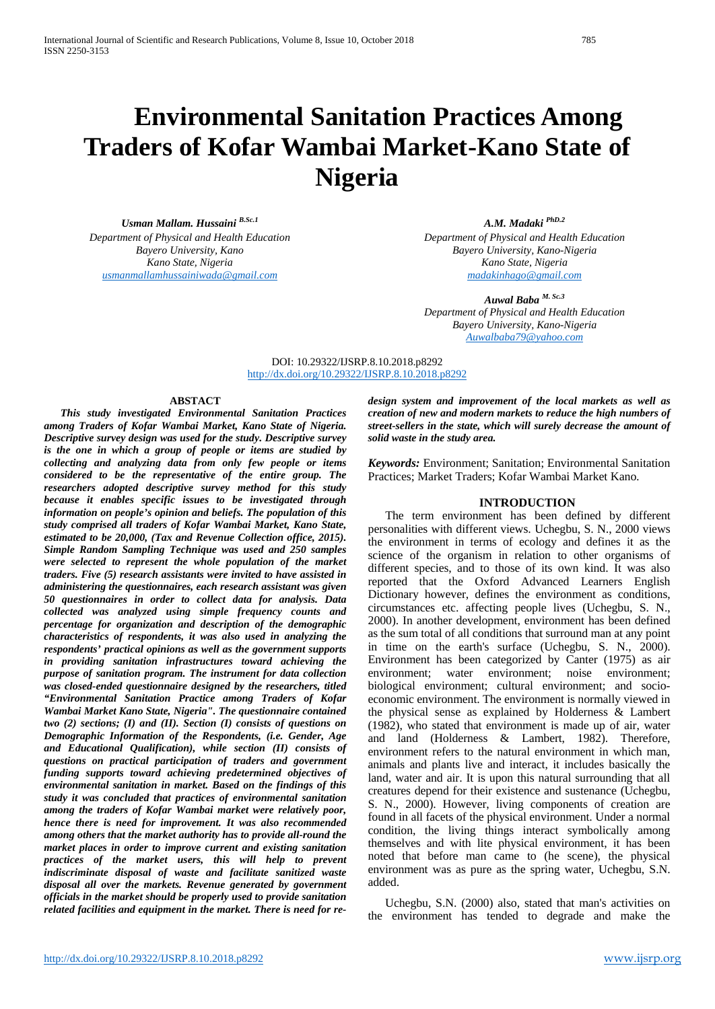# **Environmental Sanitation Practices Among Traders of Kofar Wambai Market-Kano State of Nigeria**

*Usman Mallam. Hussaini B.Sc.1 Department of Physical and Health Education Bayero University, Kano Kano State, Nigeria [usmanmallamhussainiwada@gmail.com](mailto:usmanmallamhussainiwada@gmail.com)*

*A.M. Madaki PhD.2 Department of Physical and Health Education Bayero University, Kano-Nigeria Kano State, Nigeria*

*[madakinhago@gmail.com](mailto:madakinhago@gmail.com)*

*Auwal Baba M. Sc.3 Department of Physical and Health Education Bayero University, Kano-Nigeria [Auwalbaba79@yahoo.com](mailto:Auwalbaba79@yahoo.com)*

DOI: 10.29322/IJSRP.8.10.2018.p8292 <http://dx.doi.org/10.29322/IJSRP.8.10.2018.p8292>

# **ABSTACT**

*This study investigated Environmental Sanitation Practices among Traders of Kofar Wambai Market, Kano State of Nigeria. Descriptive survey design was used for the study. Descriptive survey is the one in which a group of people or items are studied by collecting and analyzing data from only few people or items considered to be the representative of the entire group. The researchers adopted descriptive survey method for this study because it enables specific issues to be investigated through information on people's opinion and beliefs. The population of this study comprised all traders of Kofar Wambai Market, Kano State, estimated to be 20,000, (Tax and Revenue Collection office, 2015). Simple Random Sampling Technique was used and 250 samples were selected to represent the whole population of the market traders. Five (5) research assistants were invited to have assisted in administering the questionnaires, each research assistant was given 50 questionnaires in order to collect data for analysis. Data collected was analyzed using simple frequency counts and percentage for organization and description of the demographic characteristics of respondents, it was also used in analyzing the respondents' practical opinions as well as the government supports in providing sanitation infrastructures toward achieving the purpose of sanitation program. The instrument for data collection was closed-ended questionnaire designed by the researchers, titled "Environmental Sanitation Practice among Traders of Kofar Wambai Market Kano State, Nigeria". The questionnaire contained two (2) sections; (I) and (II). Section (I) consists of questions on Demographic Information of the Respondents, (i.e. Gender, Age and Educational Qualification), while section (II) consists of questions on practical participation of traders and government funding supports toward achieving predetermined objectives of environmental sanitation in market. Based on the findings of this study it was concluded that practices of environmental sanitation among the traders of Kofar Wambai market were relatively poor, hence there is need for improvement. It was also recommended among others that the market authority has to provide all-round the market places in order to improve current and existing sanitation practices of the market users, this will help to prevent indiscriminate disposal of waste and facilitate sanitized waste disposal all over the markets. Revenue generated by government officials in the market should be properly used to provide sanitation related facilities and equipment in the market. There is need for re-* *design system and improvement of the local markets as well as creation of new and modern markets to reduce the high numbers of street-sellers in the state, which will surely decrease the amount of solid waste in the study area.*

*Keywords:* Environment; Sanitation; Environmental Sanitation Practices; Market Traders; Kofar Wambai Market Kano*.*

## **INTRODUCTION**

The term environment has been defined by different personalities with different views. Uchegbu, S. N., 2000 views the environment in terms of ecology and defines it as the science of the organism in relation to other organisms of different species, and to those of its own kind. It was also reported that the Oxford Advanced Learners English Dictionary however, defines the environment as conditions, circumstances etc. affecting people lives (Uchegbu, S. N., 2000). In another development, environment has been defined as the sum total of all conditions that surround man at any point in time on the earth's surface (Uchegbu, S. N., 2000). Environment has been categorized by Canter (1975) as air environment; water environment; noise environment; biological environment; cultural environment; and socioeconomic environment. The environment is normally viewed in the physical sense as explained by Holderness & Lambert (1982), who stated that environment is made up of air, water and land (Holderness & Lambert, 1982). Therefore, environment refers to the natural environment in which man, animals and plants live and interact, it includes basically the land, water and air. It is upon this natural surrounding that all creatures depend for their existence and sustenance (Uchegbu, S. N., 2000). However, living components of creation are found in all facets of the physical environment. Under a normal condition, the living things interact symbolically among themselves and with lite physical environment, it has been noted that before man came to (he scene), the physical environment was as pure as the spring water, Uchegbu, S.N. added.

Uchegbu, S.N. (2000) also, stated that man's activities on the environment has tended to degrade and make the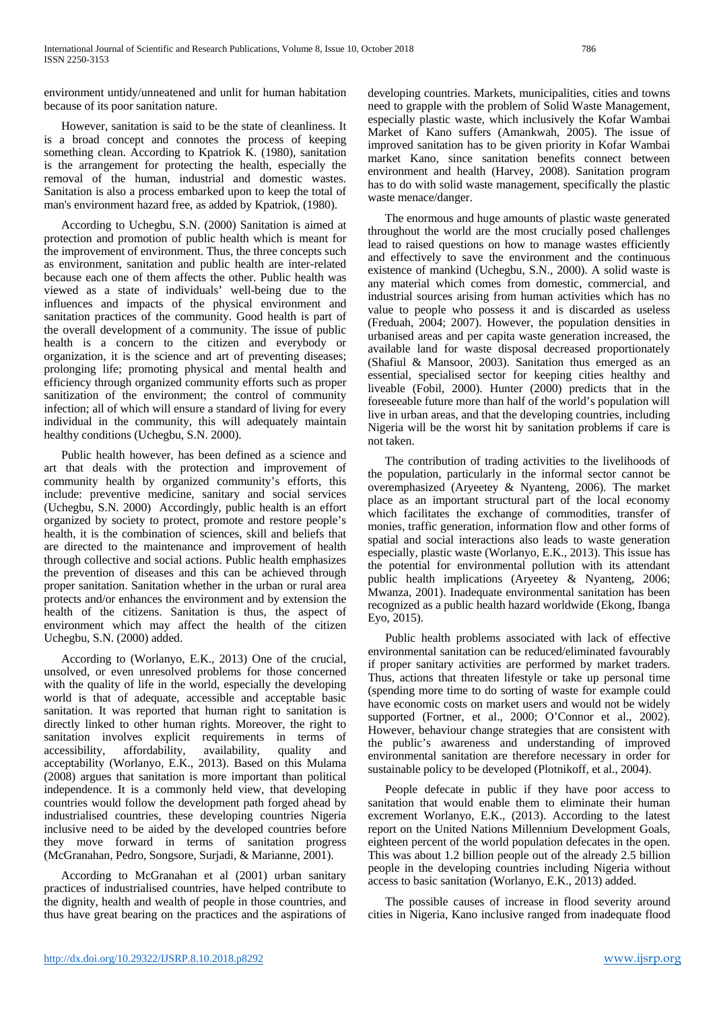environment untidy/unneatened and unlit for human habitation because of its poor sanitation nature.

However, sanitation is said to be the state of cleanliness. It is a broad concept and connotes the process of keeping something clean. According to Kpatriok K. (1980), sanitation is the arrangement for protecting the health, especially the removal of the human, industrial and domestic wastes. Sanitation is also a process embarked upon to keep the total of man's environment hazard free, as added by Kpatriok, (1980).

According to Uchegbu, S.N. (2000) Sanitation is aimed at protection and promotion of public health which is meant for the improvement of environment. Thus, the three concepts such as environment, sanitation and public health are inter-related because each one of them affects the other. Public health was viewed as a state of individuals' well-being due to the influences and impacts of the physical environment and sanitation practices of the community. Good health is part of the overall development of a community. The issue of public health is a concern to the citizen and everybody or organization, it is the science and art of preventing diseases; prolonging life; promoting physical and mental health and efficiency through organized community efforts such as proper sanitization of the environment; the control of community infection; all of which will ensure a standard of living for every individual in the community, this will adequately maintain healthy conditions (Uchegbu, S.N. 2000).

Public health however, has been defined as a science and art that deals with the protection and improvement of community health by organized community's efforts, this include: preventive medicine, sanitary and social services (Uchegbu, S.N. 2000) Accordingly, public health is an effort organized by society to protect, promote and restore people's health, it is the combination of sciences, skill and beliefs that are directed to the maintenance and improvement of health through collective and social actions. Public health emphasizes the prevention of diseases and this can be achieved through proper sanitation. Sanitation whether in the urban or rural area protects and/or enhances the environment and by extension the health of the citizens. Sanitation is thus, the aspect of environment which may affect the health of the citizen Uchegbu, S.N. (2000) added.

According to (Worlanyo, E.K., 2013) One of the crucial, unsolved, or even unresolved problems for those concerned with the quality of life in the world, especially the developing world is that of adequate, accessible and acceptable basic sanitation. It was reported that human right to sanitation is directly linked to other human rights. Moreover, the right to sanitation involves explicit requirements in terms of accessibility, affordability, availability, quality and acceptability (Worlanyo, E.K., 2013). Based on this Mulama (2008) argues that sanitation is more important than political independence. It is a commonly held view, that developing countries would follow the development path forged ahead by industrialised countries, these developing countries Nigeria inclusive need to be aided by the developed countries before they move forward in terms of sanitation progress (McGranahan, Pedro, Songsore, Surjadi, & Marianne, 2001).

According to McGranahan et al (2001) urban sanitary practices of industrialised countries, have helped contribute to the dignity, health and wealth of people in those countries, and thus have great bearing on the practices and the aspirations of

developing countries. Markets, municipalities, cities and towns need to grapple with the problem of Solid Waste Management, especially plastic waste, which inclusively the Kofar Wambai Market of Kano suffers (Amankwah, 2005). The issue of improved sanitation has to be given priority in Kofar Wambai market Kano, since sanitation benefits connect between environment and health (Harvey, 2008). Sanitation program has to do with solid waste management, specifically the plastic waste menace/danger.

The enormous and huge amounts of plastic waste generated throughout the world are the most crucially posed challenges lead to raised questions on how to manage wastes efficiently and effectively to save the environment and the continuous existence of mankind (Uchegbu, S.N., 2000). A solid waste is any material which comes from domestic, commercial, and industrial sources arising from human activities which has no value to people who possess it and is discarded as useless (Freduah, 2004; 2007). However, the population densities in urbanised areas and per capita waste generation increased, the available land for waste disposal decreased proportionately (Shafiul & Mansoor, 2003). Sanitation thus emerged as an essential, specialised sector for keeping cities healthy and liveable (Fobil, 2000). Hunter (2000) predicts that in the foreseeable future more than half of the world's population will live in urban areas, and that the developing countries, including Nigeria will be the worst hit by sanitation problems if care is not taken.

The contribution of trading activities to the livelihoods of the population, particularly in the informal sector cannot be overemphasized (Aryeetey & Nyanteng, 2006). The market place as an important structural part of the local economy which facilitates the exchange of commodities, transfer of monies, traffic generation, information flow and other forms of spatial and social interactions also leads to waste generation especially, plastic waste (Worlanyo, E.K., 2013). This issue has the potential for environmental pollution with its attendant public health implications (Aryeetey & Nyanteng, 2006; Mwanza, 2001). Inadequate environmental sanitation has been recognized as a public health hazard worldwide (Ekong, Ibanga Eyo, 2015).

Public health problems associated with lack of effective environmental sanitation can be reduced/eliminated favourably if proper sanitary activities are performed by market traders. Thus, actions that threaten lifestyle or take up personal time (spending more time to do sorting of waste for example could have economic costs on market users and would not be widely supported (Fortner, et al., 2000; O'Connor et al., 2002). However, behaviour change strategies that are consistent with the public's awareness and understanding of improved environmental sanitation are therefore necessary in order for sustainable policy to be developed (Plotnikoff, et al., 2004).

People defecate in public if they have poor access to sanitation that would enable them to eliminate their human excrement Worlanyo, E.K., (2013). According to the latest report on the United Nations Millennium Development Goals, eighteen percent of the world population defecates in the open. This was about 1.2 billion people out of the already 2.5 billion people in the developing countries including Nigeria without access to basic sanitation (Worlanyo, E.K., 2013) added.

The possible causes of increase in flood severity around cities in Nigeria, Kano inclusive ranged from inadequate flood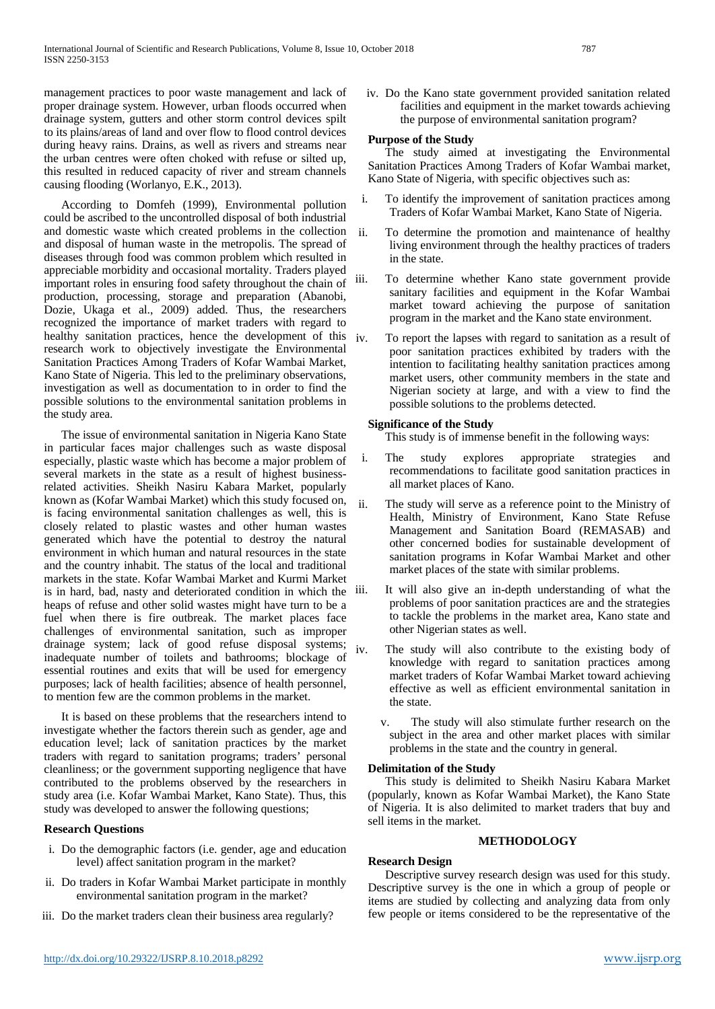management practices to poor waste management and lack of proper drainage system. However, urban floods occurred when drainage system, gutters and other storm control devices spilt to its plains/areas of land and over flow to flood control devices during heavy rains. Drains, as well as rivers and streams near the urban centres were often choked with refuse or silted up, this resulted in reduced capacity of river and stream channels causing flooding (Worlanyo, E.K., 2013).

According to Domfeh (1999), Environmental pollution could be ascribed to the uncontrolled disposal of both industrial and domestic waste which created problems in the collection and disposal of human waste in the metropolis. The spread of diseases through food was common problem which resulted in appreciable morbidity and occasional mortality. Traders played important roles in ensuring food safety throughout the chain of iii. production, processing, storage and preparation (Abanobi, Dozie, Ukaga et al., 2009) added. Thus, the researchers recognized the importance of market traders with regard to healthy sanitation practices, hence the development of this  $iv$ research work to objectively investigate the Environmental Sanitation Practices Among Traders of Kofar Wambai Market, Kano State of Nigeria. This led to the preliminary observations, investigation as well as documentation to in order to find the possible solutions to the environmental sanitation problems in the study area.

The issue of environmental sanitation in Nigeria Kano State in particular faces major challenges such as waste disposal especially, plastic waste which has become a major problem of several markets in the state as a result of highest businessrelated activities. Sheikh Nasiru Kabara Market, popularly known as (Kofar Wambai Market) which this study focused on, is facing environmental sanitation challenges as well, this is closely related to plastic wastes and other human wastes generated which have the potential to destroy the natural environment in which human and natural resources in the state and the country inhabit. The status of the local and traditional markets in the state. Kofar Wambai Market and Kurmi Market is in hard, bad, nasty and deteriorated condition in which the iii. heaps of refuse and other solid wastes might have turn to be a fuel when there is fire outbreak. The market places face challenges of environmental sanitation, such as improper drainage system; lack of good refuse disposal systems; inadequate number of toilets and bathrooms; blockage of essential routines and exits that will be used for emergency purposes; lack of health facilities; absence of health personnel, to mention few are the common problems in the market.

It is based on these problems that the researchers intend to investigate whether the factors therein such as gender, age and education level; lack of sanitation practices by the market traders with regard to sanitation programs; traders' personal cleanliness; or the government supporting negligence that have contributed to the problems observed by the researchers in study area (i.e. Kofar Wambai Market, Kano State). Thus, this study was developed to answer the following questions;

# **Research Questions**

- i. Do the demographic factors (i.e. gender, age and education level) affect sanitation program in the market?
- ii. Do traders in Kofar Wambai Market participate in monthly environmental sanitation program in the market?
- iii. Do the market traders clean their business area regularly?

The study aimed at investigating the Environmental Sanitation Practices Among Traders of Kofar Wambai market, Kano State of Nigeria, with specific objectives such as:

**Purpose of the Study** 

i. To identify the improvement of sanitation practices among Traders of Kofar Wambai Market, Kano State of Nigeria.

iv. Do the Kano state government provided sanitation related facilities and equipment in the market towards achieving the purpose of environmental sanitation program?

- ii. To determine the promotion and maintenance of healthy living environment through the healthy practices of traders in the state.
- To determine whether Kano state government provide sanitary facilities and equipment in the Kofar Wambai market toward achieving the purpose of sanitation program in the market and the Kano state environment.
- To report the lapses with regard to sanitation as a result of poor sanitation practices exhibited by traders with the intention to facilitating healthy sanitation practices among market users, other community members in the state and Nigerian society at large, and with a view to find the possible solutions to the problems detected.

# **Significance of the Study**

This study is of immense benefit in the following ways:

- i. The study explores appropriate strategies and recommendations to facilitate good sanitation practices in all market places of Kano.
- The study will serve as a reference point to the Ministry of Health, Ministry of Environment, Kano State Refuse Management and Sanitation Board (REMASAB) and other concerned bodies for sustainable development of sanitation programs in Kofar Wambai Market and other market places of the state with similar problems.
- It will also give an in-depth understanding of what the problems of poor sanitation practices are and the strategies to tackle the problems in the market area, Kano state and other Nigerian states as well.
- iv. The study will also contribute to the existing body of knowledge with regard to sanitation practices among market traders of Kofar Wambai Market toward achieving effective as well as efficient environmental sanitation in the state.
	- v. The study will also stimulate further research on the subject in the area and other market places with similar problems in the state and the country in general.

### **Delimitation of the Study**

This study is delimited to Sheikh Nasiru Kabara Market (popularly, known as Kofar Wambai Market), the Kano State of Nigeria. It is also delimited to market traders that buy and sell items in the market.

#### **METHODOLOGY**

### **Research Design**

Descriptive survey research design was used for this study. Descriptive survey is the one in which a group of people or items are studied by collecting and analyzing data from only few people or items considered to be the representative of the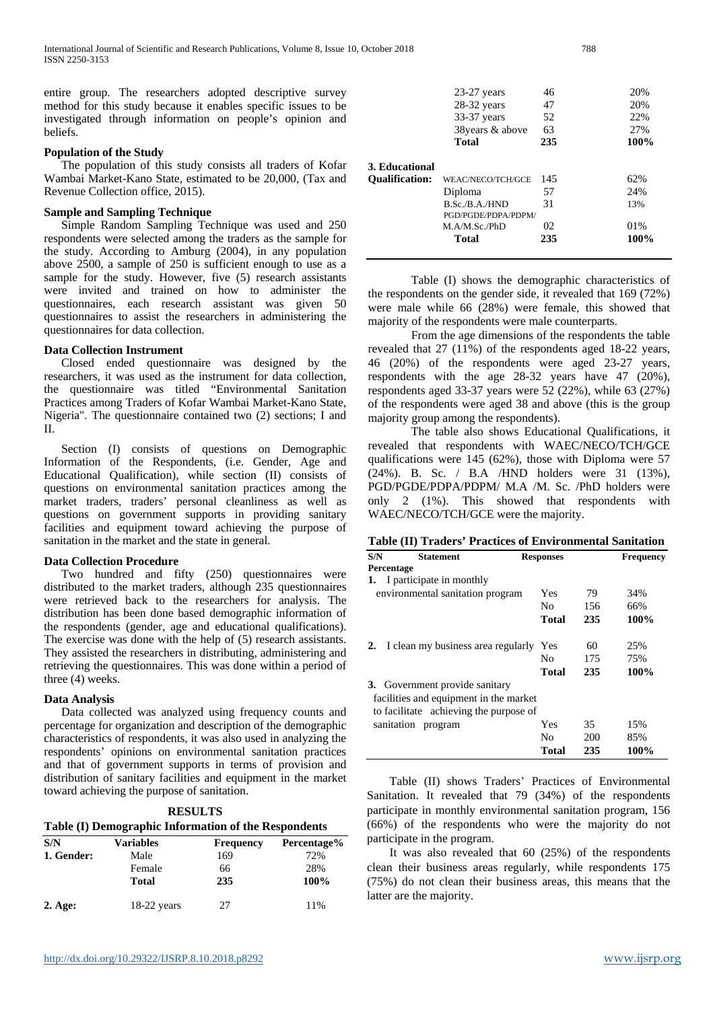entire group. The researchers adopted descriptive survey method for this study because it enables specific issues to be investigated through information on people's opinion beliefs.

### **Population of the Study**

The population of this study consists all traders of K Wambai Market-Kano State, estimated to be 20,000, (Tax Revenue Collection office, 2015).

### **Sample and Sampling Technique**

Simple Random Sampling Technique was used and respondents were selected among the traders as the sample the study. According to Amburg  $(2004)$ , in any population above  $2500$ , a sample of  $250$  is sufficient enough to use sample for the study. However, five  $(5)$  research assist were invited and trained on how to administer the questionnaires, each research assistant was given 50 questionnaires to assist the researchers in administering the questionnaires for data collection.

#### **Data Collection Instrument**

Closed ended questionnaire was designed by the researchers, it was used as the instrument for data collection, the questionnaire was titled "Environmental Sanitation Practices among Traders of Kofar Wambai Market-Kano State, Nigeria". The questionnaire contained two (2) sections; I and II.

Section (I) consists of questions on Demographic Information of the Respondents, (i.e. Gender, Age and Educational Qualification), while section (II) consists of questions on environmental sanitation practices among the market traders, traders' personal cleanliness as well as questions on government supports in providing sanitary facilities and equipment toward achieving the purpose of sanitation in the market and the state in general.

#### **Data Collection Procedure**

Two hundred and fifty (250) questionnaires were distributed to the market traders, although 235 questionnaires were retrieved back to the researchers for analysis. The distribution has been done based demographic information of the respondents (gender, age and educational qualifications). The exercise was done with the help of (5) research assistants. They assisted the researchers in distributing, administering and retrieving the questionnaires. This was done within a period of three (4) weeks.

#### **Data Analysis**

Data collected was analyzed using frequency counts and percentage for organization and description of the demographic characteristics of respondents, it was also used in analyzing the respondents' opinions on environmental sanitation practices and that of government supports in terms of provision and distribution of sanitary facilities and equipment in the market toward achieving the purpose of sanitation.

| <b>RESULTS</b>                                       |
|------------------------------------------------------|
| Table (I) Demographic Information of the Respondents |

| S/N              | <b>Variables</b> | <b>Frequency</b> | Percentage% |
|------------------|------------------|------------------|-------------|
| 1. Gender:       | Male             | 169              | 72%         |
|                  | Female           | 66               | 28%         |
|                  | <b>Total</b>     | 235              | 100%        |
| $2. \text{Age:}$ | $18-22$ years    | 27               | 11%         |

| 38 years & above  | 63                                      | 27%                 |
|-------------------|-----------------------------------------|---------------------|
|                   |                                         |                     |
| <b>Total</b>      | 235                                     | 100%                |
|                   |                                         |                     |
| WEAC/NECO/TCH/GCE | 145                                     | 62%                 |
| Diploma           | 57                                      | 24%                 |
| B.Sc./B.A./HND    | 31                                      | 13%                 |
| M.A/M.Sc./PhD     | 02                                      | 01\%                |
| <b>Total</b>      | 235                                     | 100%                |
|                   |                                         |                     |
|                   | 3. Educational<br><b>Oualification:</b> | PGD/PGDE/PDPA/PDPM/ |

28-32 years 47

Table (I) shows the demographic characteristics of the respondents on the gender side, it revealed that 169 (72%) were male while 66 (28%) were female, this showed that majority of the respondents were male counterparts.

From the age dimensions of the respondents the table revealed that 27 (11%) of the respondents aged 18-22 years, 46 (20%) of the respondents were aged 23-27 years, respondents with the age 28-32 years have 47 (20%), respondents aged 33-37 years were 52 (22%), while 63 (27%) of the respondents were aged 38 and above (this is the group majority group among the respondents).

The table also shows Educational Qualifications, it revealed that respondents with WAEC/NECO/TCH/GCE qualifications were 145 (62%), those with Diploma were 57 (24%). B. Sc. / B.A /HND holders were 31 (13%), PGD/PGDE/PDPA/PDPM/ M.A /M. Sc. /PhD holders were only 2 (1%). This showed that respondents with WAEC/NECO/TCH/GCE were the majority.

| S/N                              | <b>Statement</b>                       | <b>Responses</b> |     | <b>Frequency</b> |  |  |  |  |
|----------------------------------|----------------------------------------|------------------|-----|------------------|--|--|--|--|
|                                  | Percentage                             |                  |     |                  |  |  |  |  |
| 1.                               | I participate in monthly               |                  |     |                  |  |  |  |  |
| environmental sanitation program |                                        | Yes              | 79  | 34%              |  |  |  |  |
|                                  |                                        | No               | 156 | 66%              |  |  |  |  |
|                                  |                                        | <b>Total</b>     | 235 | 100%             |  |  |  |  |
| 2.                               | I clean my business area regularly     | Yes              | 60  | 25%              |  |  |  |  |
|                                  |                                        | No               | 175 | 75%              |  |  |  |  |
|                                  |                                        | Total            | 235 | 100%             |  |  |  |  |
|                                  | 3. Government provide sanitary         |                  |     |                  |  |  |  |  |
|                                  | facilities and equipment in the market |                  |     |                  |  |  |  |  |
|                                  | to facilitate achieving the purpose of |                  |     |                  |  |  |  |  |
|                                  | sanitation program                     | Yes              | 35  | 15%              |  |  |  |  |
|                                  |                                        | No               | 200 | 85%              |  |  |  |  |
|                                  |                                        | Total            | 235 | 100%             |  |  |  |  |

Table (II) shows Traders' Practices of Environmental Sanitation. It revealed that 79 (34%) of the respondents participate in monthly environmental sanitation program, 156 (66%) of the respondents who were the majority do not participate in the program.

It was also revealed that 60 (25%) of the respondents clean their business areas regularly, while respondents 175 (75%) do not clean their business areas, this means that the latter are the majority.

23-27 years 46 20%<br>28-32 years 47 20%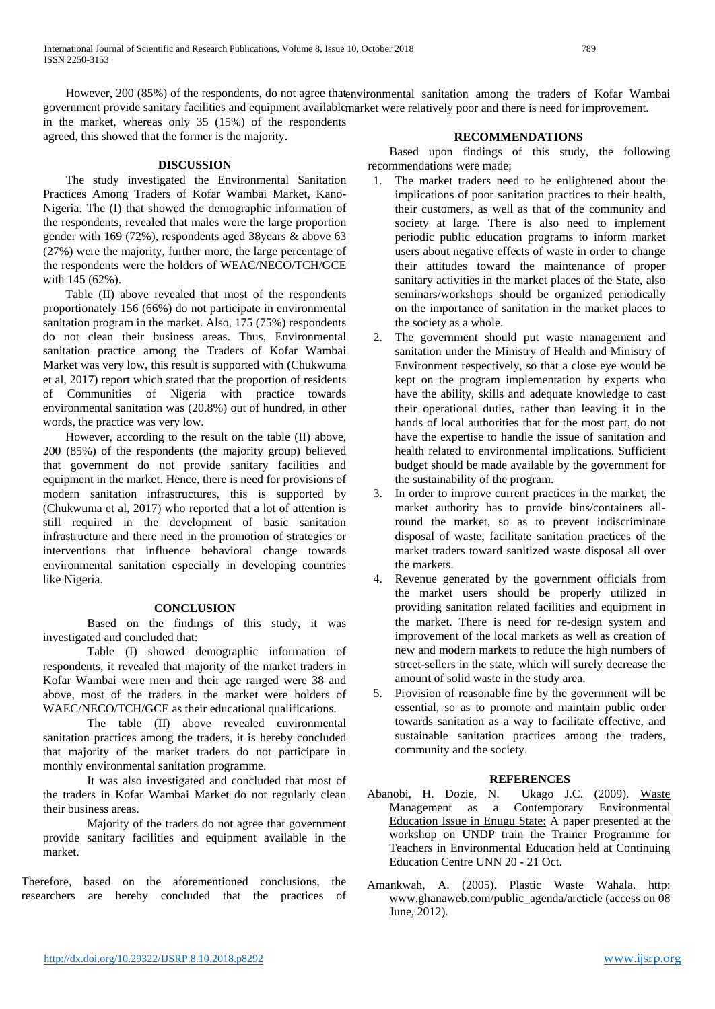However, 200 (85%) of the respondents, do not agree that environmental sanitation among the traders of Kofar Wambai government provide sanitary facilities and equipment available market were relatively poor and there is need for improvement. in the market, whereas only 35 (15%) of the respondents agreed, this showed that the former is the majority.

#### **DISCUSSION**

The study investigated the Environmental Sanitation Practices Among Traders of Kofar Wambai Market, Kano-Nigeria. The (I) that showed the demographic information of the respondents, revealed that males were the large proportion gender with 169 (72%), respondents aged 38years & above 63 (27%) were the majority, further more, the large percentage of the respondents were the holders of WEAC/NECO/TCH/GCE with 145 (62%).

Table (II) above revealed that most of the respondents proportionately 156 (66%) do not participate in environmental sanitation program in the market. Also, 175 (75%) respondents do not clean their business areas. Thus, Environmental sanitation practice among the Traders of Kofar Wambai Market was very low, this result is supported with (Chukwuma et al, 2017) report which stated that the proportion of residents of Communities of Nigeria with practice towards environmental sanitation was (20.8%) out of hundred, in other words, the practice was very low.

However, according to the result on the table (II) above, 200 (85%) of the respondents (the majority group) believed that government do not provide sanitary facilities and equipment in the market. Hence, there is need for provisions of modern sanitation infrastructures, this is supported by (Chukwuma et al, 2017) who reported that a lot of attention is still required in the development of basic sanitation infrastructure and there need in the promotion of strategies or interventions that influence behavioral change towards environmental sanitation especially in developing countries like Nigeria.

#### **CONCLUSION**

Based on the findings of this study, it was investigated and concluded that:

Table (I) showed demographic information of respondents, it revealed that majority of the market traders in Kofar Wambai were men and their age ranged were 38 and above, most of the traders in the market were holders of WAEC/NECO/TCH/GCE as their educational qualifications.

The table (II) above revealed environmental sanitation practices among the traders, it is hereby concluded that majority of the market traders do not participate in monthly environmental sanitation programme.

It was also investigated and concluded that most of the traders in Kofar Wambai Market do not regularly clean their business areas.

Majority of the traders do not agree that government provide sanitary facilities and equipment available in the market.

Therefore, based on the aforementioned conclusions, the researchers are hereby concluded that the practices of

## **RECOMMENDATIONS**

Based upon findings of this study, the following recommendations were made;

- 1. The market traders need to be enlightened about the implications of poor sanitation practices to their health, their customers, as well as that of the community and society at large. There is also need to implement periodic public education programs to inform market users about negative effects of waste in order to change their attitudes toward the maintenance of proper sanitary activities in the market places of the State, also seminars/workshops should be organized periodically on the importance of sanitation in the market places to the society as a whole.
- 2. The government should put waste management and sanitation under the Ministry of Health and Ministry of Environment respectively, so that a close eye would be kept on the program implementation by experts who have the ability, skills and adequate knowledge to cast their operational duties, rather than leaving it in the hands of local authorities that for the most part, do not have the expertise to handle the issue of sanitation and health related to environmental implications. Sufficient budget should be made available by the government for the sustainability of the program.
- 3. In order to improve current practices in the market, the market authority has to provide bins/containers allround the market, so as to prevent indiscriminate disposal of waste, facilitate sanitation practices of the market traders toward sanitized waste disposal all over the markets.
- 4. Revenue generated by the government officials from the market users should be properly utilized in providing sanitation related facilities and equipment in the market. There is need for re-design system and improvement of the local markets as well as creation of new and modern markets to reduce the high numbers of street-sellers in the state, which will surely decrease the amount of solid waste in the study area.
- 5. Provision of reasonable fine by the government will be essential, so as to promote and maintain public order towards sanitation as a way to facilitate effective, and sustainable sanitation practices among the traders, community and the society.

### **REFERENCES**

- Abanobi, H. Dozie, N. Ukago J.C. (2009). Waste Management as a Contemporary Environmental Education Issue in Enugu State: A paper presented at the workshop on UNDP train the Trainer Programme for Teachers in Environmental Education held at Continuing Education Centre UNN 20 - 21 Oct.
- Amankwah, A. (2005). Plastic Waste Wahala. http: www.ghanaweb.com/public\_agenda/arcticle (access on 08 June, 2012).